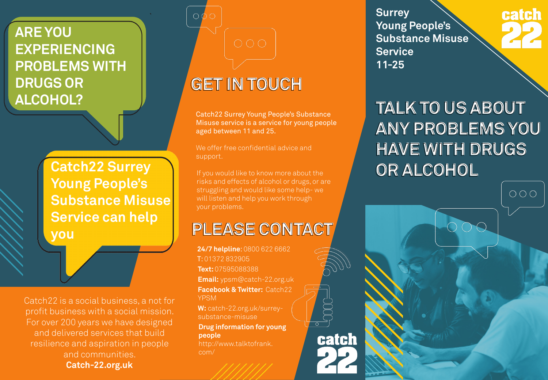#### **ARE YOU EXPERIENCING PROBLEMS WITH DRUGS OR ALCOHOL?**

**Catch22 Surrey Young People's Substance Misuse Service can help you**

Catch22 is a social business, a not for profit business with a social mission. For over 200 years we have designed and delivered services that build resilience and aspiration in people and communities. **Catch-22.org.uk** 

### **GET IN TOUCH GET IN TOUCH**

Catch22 Surrey Young People's Substance Misuse service is a service for young people aged between 11 and 25.

We offer free confidential advice and support.

If you would like to know more about the risks and effects of alcohol or drugs, or are struggling and would like some help- we will listen and help you work through your problems.

### **PLEASE CONTACT PLEASE CONTACT**

**24/7 helpline**: 0800 622 6662 T: 01372 832905 **Text:** 07595088388 **Email:** ypsm@catch-22.org.uk **Facebook & Twitter:** Catch22 YPSM

**W:** catch-22.org.uk/surreysubstance-misuse

**Drug information for young people**  http://www.talktofrank. com/

catch

**Surrey Young People's Substance Misuse Service 11-25**

# catch

**TALK TO US ABOUT TALK TO US ABOUT ANY PROBLEMS YOU ANY PROBLEMS YOU HAVE WITH DRUGS HAVE WITH DRUGS OR ALCOHOL OR ALCOHOL**

 $000$